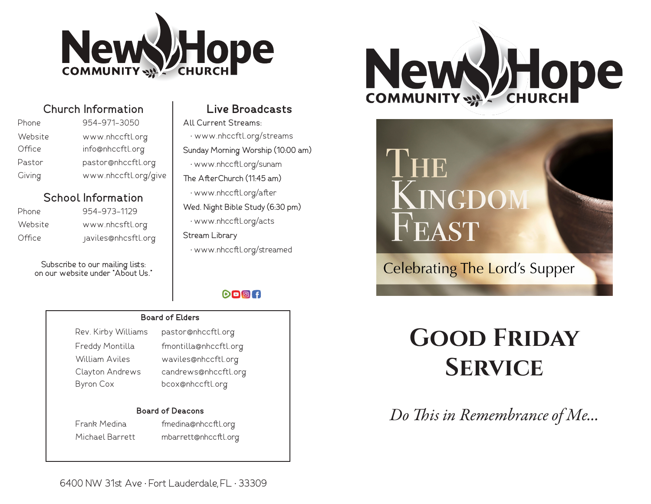

| Church Information |  |               |  |
|--------------------|--|---------------|--|
|                    |  | AF 4 AF4 AAFA |  |

| Phone   | 954-971-3050         |
|---------|----------------------|
| Website | www.nhccftl.org      |
| Office  | info@nhccftl.org     |
| Pastor  | pastor@nhccftl.org   |
| Giving  | www.nhccftl.org/give |

# **School Information**

| Phone   |  |
|---------|--|
| Website |  |
| Office  |  |

954-973-1129 www.nhcsftl.org javiles@nhcsftl.org

Subscribe to our mailing lists: on our website under "About Us."

# **Live Broadcasts**

All Current Streams: • www.nhccftl.org/streams Sunday Morning Worship (10:00 am) • www.nhccftl.org/sunam The AfterChurch (11:45 am) • www.nhccftl.org/after Wed. Night Bible Study (6:30 pm) • www.nhccftl.org/acts Stream Library • www.nhccftl.org/streamed

# $O = 1$

#### **Board of Elders**

Rev. Kirby Williams pastor@nhccftl.org William Aviles waviles@nhccftl.org Byron Cox bcox@nhccftl.org

# Freddy Montilla fmontilla@nhccftl.org Clayton Andrews candrews@nhccftl.org

#### **Board of Deacons**

Frank Medina fmedina@nhccftl.org Michael Barrett mbarrett@nhccftl.org



# IHE KINGDOM FEAST

# **Celebrating The Lord's Supper**

# **Good Friday Service**

*Do This in Remembrance of Me...*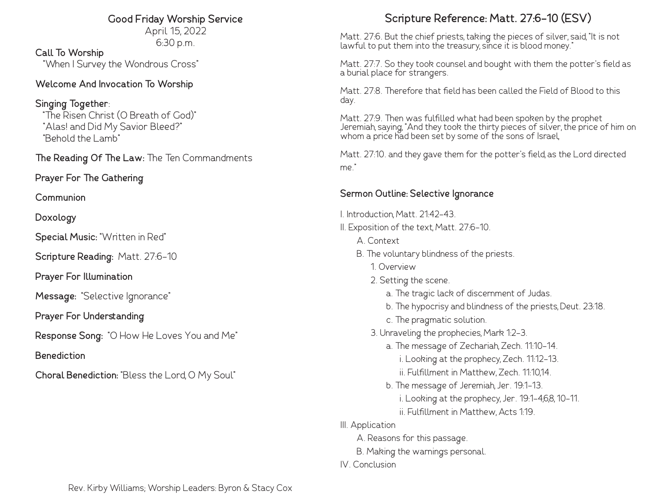# **Good Friday Worship Service**

April 15, 2022 6:30 p.m.

**Call To Worship** "When I Survey the Wondrous Cross"

# **Welcome And Invocation To Worship**

**Singing Together**: "The Risen Christ (O Breath of God)" "Alas! and Did My Savior Bleed?" "Behold the Lamb"

**The Reading Of The Law:** The Ten Commandments

**Prayer For The Gathering**

**Communion**

**Doxology**

**Special Music:** "Written in Red"

**Scripture Reading:** Matt. 27:6-10

**Prayer For Illumination**

**Message:** "Selective Ignorance"

**Prayer For Understanding**

**Response Song:** "O How He Loves You and Me"

**Benediction**

**Choral Benediction:** "Bless the Lord, O My Soul"

# **Scripture Reference: Matt. 27:6-10 (ESV)**

Matt. 27:6. But the chief priests, taking the pieces of silver, said, "It is not lawful to put them into the treasury, since it is blood money."

Matt. 27:7. So they took counsel and bought with them the potter's field as a burial place for strangers.

Matt. 27:8. Therefore that field has been called the Field of Blood to this day.

Matt. 27:9. Then was fulfilled what had been spoken by the prophet Jeremiah, saying, "And they took the thirty pieces of silver, the price of him on whom a price had been set by some of the sons of Israel,

Matt. 27:10. and they gave them for the potter's field, as the Lord directed me."

# **Sermon Outline: Selective Ignorance**

- I. Introduction, Matt. 21:42-43.
- II. Exposition of the text, Matt. 27:6-10.
	- A. Context
	- B. The voluntary blindness of the priests.
		- 1. Overview
		- 2. Setting the scene.
			- a. The tragic lack of discernment of Judas.
			- b. The hypocrisy and blindness of the priests, Deut. 23:18.
			- c. The pragmatic solution.
		- 3. Unraveling the prophecies, Mark 1:2-3.
			- a. The message of Zechariah, Zech. 11:10-14.
				- i. Looking at the prophecy, Zech. 11:12-13.
				- ii. Fulfillment in Matthew, Zech. 11:10,14.
			- b. The message of Jeremiah, Jer. 19:1-13. i. Looking at the prophecy, Jer. 19:1-4,6,8, 10-11. ii. Fulfillment in Matthew, Acts 1:19.
- III. Application
	- A. Reasons for this passage.
	- B. Making the warnings personal.
- IV. Conclusion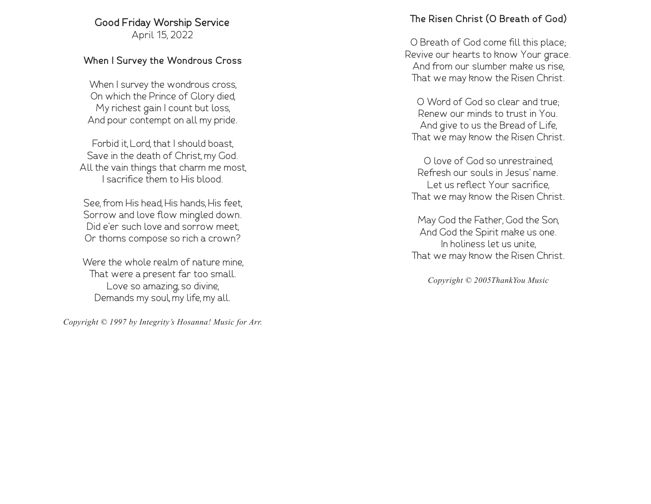# **Good Friday Worship Service**

April 15, 2022

# **When I Survey the Wondrous Cross**

When I survey the wondrous cross, On which the Prince of Glory died, My richest gain I count but loss, And pour contempt on all my pride.

Forbid it, Lord, that I should boast, Save in the death of Christ, my God. All the vain things that charm me most, I sacrifice them to His blood.

See, from His head, His hands, His feet, Sorrow and love flow mingled down. Did e'er such love and sorrow meet, Or thorns compose so rich a crown?

Were the whole realm of nature mine, That were a present far too small. Love so amazing, so divine, Demands my soul, my life, my all.

*Copyright © 1997 by Integrity's Hosanna! Music for Arr.*

# **The Risen Christ (O Breath of God)**

O Breath of God come fill this place; Revive our hearts to know Your grace. And from our slumber make us rise, That we may know the Risen Christ.

O Word of God so clear and true; Renew our minds to trust in You. And give to us the Bread of Life, That we may know the Risen Christ.

O love of God so unrestrained, Refresh our souls in Jesus' name. Let us reflect Your sacrifice, That we may know the Risen Christ.

May God the Father, God the Son, And God the Spirit make us one. In holiness let us unite, That we may know the Risen Christ.

*Copyright © 2005ThankYou Music*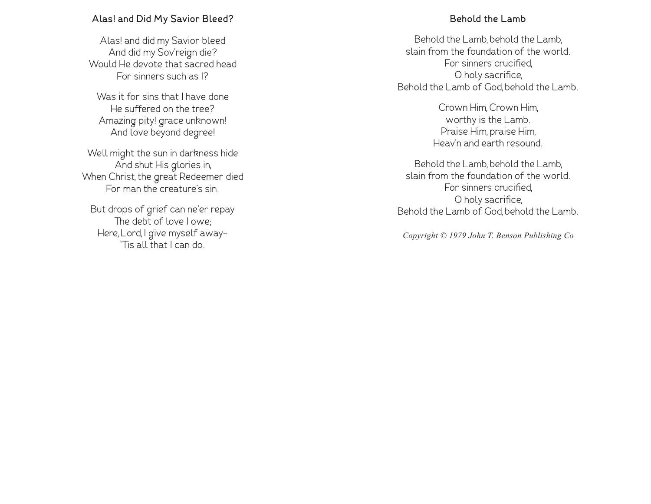#### **Alas! and Did My Savior Bleed?**

Alas! and did my Savior bleed And did my Sov'reign die? Would He devote that sacred head For sinners such as I?

Was it for sins that I have done He suffered on the tree? Amazing pity! grace unknown! And love beyond degree!

Well might the sun in darkness hide And shut His glories in, When Christ, the great Redeemer died For man the creature's sin.

But drops of grief can ne'er repay The debt of love I owe; Here, Lord, I give myself away- 'Tis all that I can do.

#### **Behold the Lamb**

Behold the Lamb, behold the Lamb, slain from the foundation of the world. For sinners crucified, O holy sacrifice, Behold the Lamb of God, behold the Lamb.

> Crown Him, Crown Him, worthy is the Lamb. Praise Him, praise Him, Heav'n and earth resound.

Behold the Lamb, behold the Lamb, slain from the foundation of the world. For sinners crucified, O holy sacrifice, Behold the Lamb of God, behold the Lamb.

*Copyright © 1979 John T. Benson Publishing Co*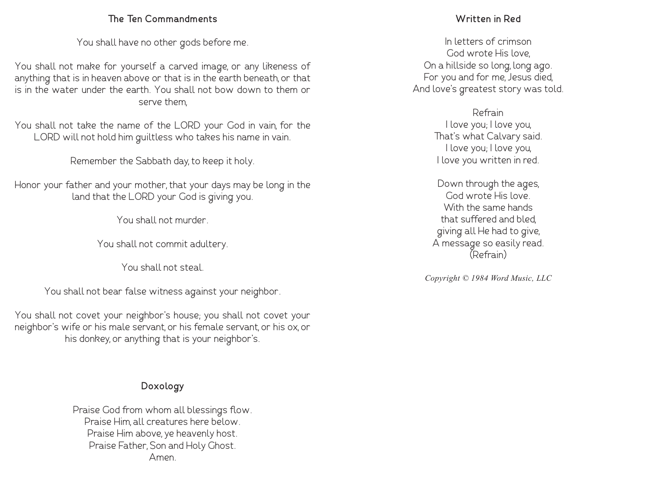### **The Ten Commandments**

You shall have no other gods before me.

You shall not make for yourself a carved image, or any likeness of anything that is in heaven above or that is in the earth beneath, or that is in the water under the earth. You shall not bow down to them or serve them,

You shall not take the name of the LORD your God in vain, for the LORD will not hold him guiltless who takes his name in vain.

Remember the Sabbath day, to keep it holy.

Honor your father and your mother, that your days may be long in the land that the LORD your God is giving you.

You shall not murder.

You shall not commit adultery.

You shall not steal.

You shall not bear false witness against your neighbor.

You shall not covet your neighbor's house; you shall not covet your neighbor's wife or his male servant, or his female servant, or his ox, or his donkey, or anything that is your neighbor's.

# **Doxology**

Praise God from whom all blessings flow. Praise Him, all creatures here below. Praise Him above, ye heavenly host. Praise Father, Son and Holy Ghost. Amen.

# **Written in Red**

In letters of crimson God wrote His love, On a hillside so long, long ago. For you and for me, Jesus died, And love's greatest story was told.

> Refrain I love you; I love you, That's what Calvary said. I love you; I love you, I love you written in red.

Down through the ages, God wrote His love. With the same hands that suffered and bled, giving all He had to give, A message so easily read. (Refrain)

*Copyright © 1984 Word Music, LLC*